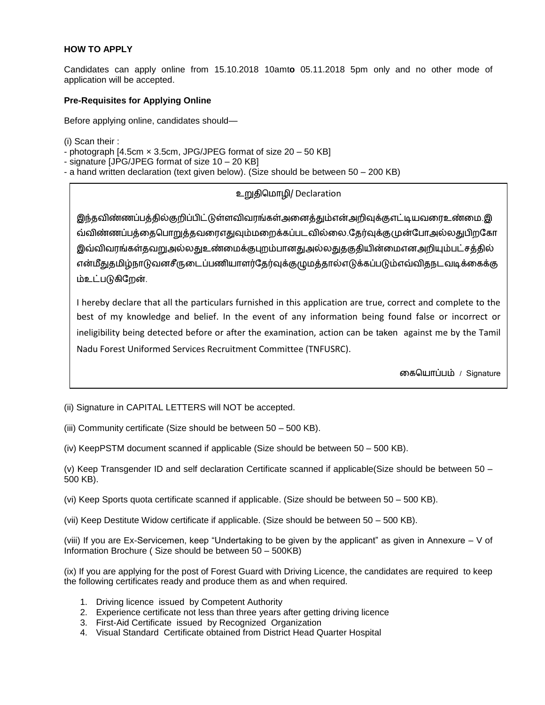## **HOW TO APPLY**

Candidates can apply online from 15.10.2018 10amt**o** 05.11.2018 5pm only and no other mode of application will be accepted.

## **Pre-Requisites for Applying Online**

Before applying online, candidates should—

(i) Scan their :

- photograph [4.5cm × 3.5cm, JPG/JPEG format of size 20 – 50 KB]

- signature [JPG/JPEG format of size 10 – 20 KB]

- a hand written declaration (text given below). (Size should be between 50 – 200 KB)

# உறுதிமொழி/ Declaration

இந்தவிண்ணப்பத்தில்குறிப்பிட்டுள்ளவிவரங்கள்அனைத்தும்என்அறிவுக்குஎட்டியவரைஉண்மை.இ வ்விண்ணப்பத்தைபொறுத்தவரைஎதுவும் மறைக்கப்படவில்லை.தேர்வுக்கு முன்போஅல்லதுபிறகோ இவ்விவரங்கள்தவறுஅல்லதுஉண்மைக்குபுறம்பானதுஅல்லதுதகுதியின்மைஎனஅறியும்பட்சத்தில் என்மீதுதமிழ்நாடுவனசீருடைப்பணியாளர்தேர்வுக்குழுமத்தால்எடுக்கப்படும்எவ்விதநடவடிக்கைக்கு ம்உட்படுகிதறன்.

I hereby declare that all the particulars furnished in this application are true, correct and complete to the best of my knowledge and belief. In the event of any information being found false or incorrect or ineligibility being detected before or after the examination, action can be taken against me by the Tamil Nadu Forest Uniformed Services Recruitment Committee (TNFUSRC).

னகமயொப்பம் / Signature

(ii) Signature in CAPITAL LETTERS will NOT be accepted.

(iii) Community certificate (Size should be between 50 – 500 KB).

(iv) KeepPSTM document scanned if applicable (Size should be between 50 – 500 KB).

(v) Keep Transgender ID and self declaration Certificate scanned if applicable(Size should be between 50 – 500 KB).

(vi) Keep Sports quota certificate scanned if applicable. (Size should be between 50 – 500 KB).

(vii) Keep Destitute Widow certificate if applicable. (Size should be between 50 – 500 KB).

(viii) If you are Ex-Servicemen, keep "Undertaking to be given by the applicant" as given in Annexure – V of Information Brochure ( Size should be between 50 – 500KB)

(ix) If you are applying for the post of Forest Guard with Driving Licence, the candidates are required to keep the following certificates ready and produce them as and when required.

- 1. Driving licence issued by Competent Authority
- 2. Experience certificate not less than three years after getting driving licence
- 3. First-Aid Certificate issued by Recognized Organization
- 4. Visual Standard Certificate obtained from District Head Quarter Hospital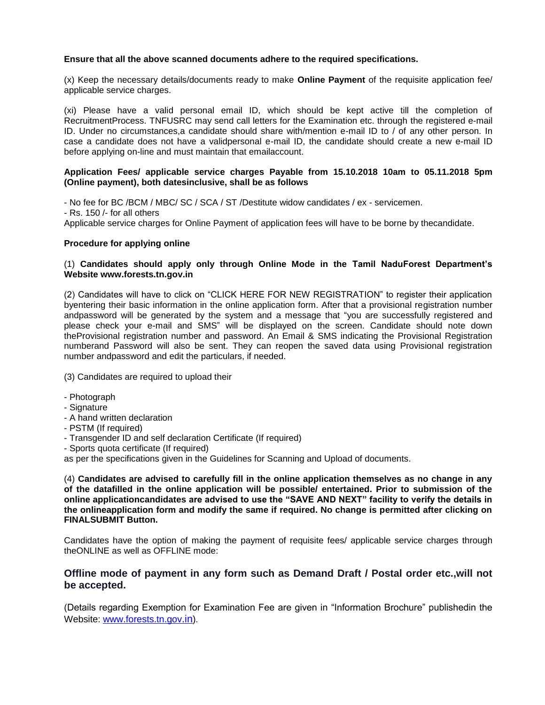### **Ensure that all the above scanned documents adhere to the required specifications.**

(x) Keep the necessary details/documents ready to make **Online Payment** of the requisite application fee/ applicable service charges.

(xi) Please have a valid personal email ID, which should be kept active till the completion of RecruitmentProcess. TNFUSRC may send call letters for the Examination etc. through the registered e-mail ID. Under no circumstances,a candidate should share with/mention e-mail ID to / of any other person. In case a candidate does not have a validpersonal e-mail ID, the candidate should create a new e-mail ID before applying on-line and must maintain that emailaccount.

#### **Application Fees/ applicable service charges Payable from 15.10.2018 10am to 05.11.2018 5pm (Online payment), both datesinclusive, shall be as follows**

- No fee for BC /BCM / MBC/ SC / SCA / ST /Destitute widow candidates / ex - servicemen. - Rs. 150 /- for all others Applicable service charges for Online Payment of application fees will have to be borne by thecandidate.

#### **Procedure for applying online**

## (1) **Candidates should apply only through Online Mode in the Tamil NaduForest Department's Website www.forests.tn.gov.in**

(2) Candidates will have to click on "CLICK HERE FOR NEW REGISTRATION" to register their application byentering their basic information in the online application form. After that a provisional registration number andpassword will be generated by the system and a message that "you are successfully registered and please check your e-mail and SMS" will be displayed on the screen. Candidate should note down theProvisional registration number and password. An Email & SMS indicating the Provisional Registration numberand Password will also be sent. They can reopen the saved data using Provisional registration number andpassword and edit the particulars, if needed.

(3) Candidates are required to upload their

- Photograph
- Signature
- A hand written declaration
- PSTM (If required)
- Transgender ID and self declaration Certificate (If required)
- Sports quota certificate (If required)

as per the specifications given in the Guidelines for Scanning and Upload of documents.

(4) **Candidates are advised to carefully fill in the online application themselves as no change in any of the datafilled in the online application will be possible/ entertained. Prior to submission of the online applicationcandidates are advised to use the "SAVE AND NEXT" facility to verify the details in the onlineapplication form and modify the same if required. No change is permitted after clicking on FINALSUBMIT Button.** 

Candidates have the option of making the payment of requisite fees/ applicable service charges through theONLINE as well as OFFLINE mode:

## **Offline mode of payment in any form such as Demand Draft / Postal order etc.,will not be accepted.**

(Details regarding Exemption for Examination Fee are given in "Information Brochure" publishedin the Website: [www.forests.tn.gov](http://www.forests.tn.gov.in/).in).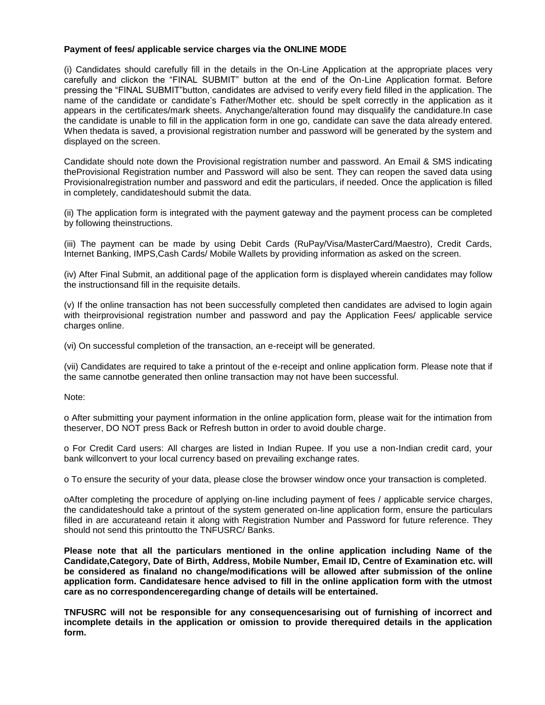## **Payment of fees/ applicable service charges via the ONLINE MODE**

(i) Candidates should carefully fill in the details in the On-Line Application at the appropriate places very carefully and clickon the "FINAL SUBMIT" button at the end of the On-Line Application format. Before pressing the "FINAL SUBMIT"button, candidates are advised to verify every field filled in the application. The name of the candidate or candidate's Father/Mother etc. should be spelt correctly in the application as it appears in the certificates/mark sheets. Anychange/alteration found may disqualify the candidature.In case the candidate is unable to fill in the application form in one go, candidate can save the data already entered. When thedata is saved, a provisional registration number and password will be generated by the system and displayed on the screen.

Candidate should note down the Provisional registration number and password. An Email & SMS indicating theProvisional Registration number and Password will also be sent. They can reopen the saved data using Provisionalregistration number and password and edit the particulars, if needed. Once the application is filled in completely, candidateshould submit the data.

(ii) The application form is integrated with the payment gateway and the payment process can be completed by following theinstructions.

(iii) The payment can be made by using Debit Cards (RuPay/Visa/MasterCard/Maestro), Credit Cards, Internet Banking, IMPS,Cash Cards/ Mobile Wallets by providing information as asked on the screen.

(iv) After Final Submit, an additional page of the application form is displayed wherein candidates may follow the instructionsand fill in the requisite details.

(v) If the online transaction has not been successfully completed then candidates are advised to login again with theirprovisional registration number and password and pay the Application Fees/ applicable service charges online.

(vi) On successful completion of the transaction, an e-receipt will be generated.

(vii) Candidates are required to take a printout of the e-receipt and online application form. Please note that if the same cannotbe generated then online transaction may not have been successful.

Note:

o After submitting your payment information in the online application form, please wait for the intimation from theserver, DO NOT press Back or Refresh button in order to avoid double charge.

o For Credit Card users: All charges are listed in Indian Rupee. If you use a non-Indian credit card, your bank willconvert to your local currency based on prevailing exchange rates.

o To ensure the security of your data, please close the browser window once your transaction is completed.

oAfter completing the procedure of applying on-line including payment of fees / applicable service charges, the candidateshould take a printout of the system generated on-line application form, ensure the particulars filled in are accurateand retain it along with Registration Number and Password for future reference. They should not send this printoutto the TNFUSRC/ Banks.

**Please note that all the particulars mentioned in the online application including Name of the Candidate,Category, Date of Birth, Address, Mobile Number, Email ID, Centre of Examination etc. will be considered as finaland no change/modifications will be allowed after submission of the online application form. Candidatesare hence advised to fill in the online application form with the utmost care as no correspondenceregarding change of details will be entertained.** 

**TNFUSRC will not be responsible for any consequencesarising out of furnishing of incorrect and incomplete details in the application or omission to provide therequired details in the application form.**